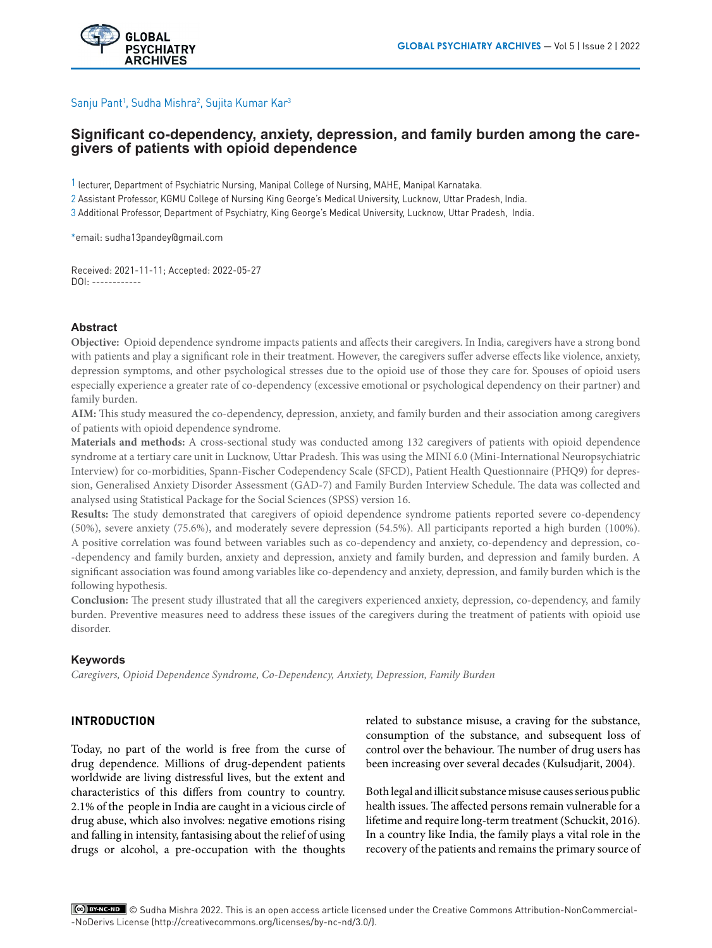## Sanju Pant<sup>1</sup>, Sudha Mishra<sup>2</sup>, Sujita Kumar Kar<sup>3</sup>

# **Significant co-dependency, anxiety, depression, and family burden among the caregivers of patients with opioid dependence**

1 lecturer, Department of Psychiatric Nursing, Manipal College of Nursing, MAHE, Manipal Karnataka.

2 Assistant Professor, KGMU College of Nursing King George's Medical University, Lucknow, Uttar Pradesh, India.

3 Additional Professor, Department of Psychiatry, King George's Medical University, Lucknow, Uttar Pradesh, India.

\*email: sudha13pandey@gmail.com

Received: 2021-11-11; Accepted: 2022-05-27 DOI: ------------

### **Abstract**

**Objective:** Opioid dependence syndrome impacts patients and affects their caregivers. In India, caregivers have a strong bond with patients and play a significant role in their treatment. However, the caregivers suffer adverse effects like violence, anxiety, depression symptoms, and other psychological stresses due to the opioid use of those they care for. Spouses of opioid users especially experience a greater rate of co-dependency (excessive emotional or psychological dependency on their partner) and family burden.

**AIM:** This study measured the co-dependency, depression, anxiety, and family burden and their association among caregivers of patients with opioid dependence syndrome.

**Materials and methods:** A cross-sectional study was conducted among 132 caregivers of patients with opioid dependence syndrome at a tertiary care unit in Lucknow, Uttar Pradesh. This was using the MINI 6.0 (Mini-International Neuropsychiatric Interview) for co-morbidities, Spann-Fischer Codependency Scale (SFCD), Patient Health Questionnaire (PHQ9) for depression, Generalised Anxiety Disorder Assessment (GAD-7) and Family Burden Interview Schedule. The data was collected and analysed using Statistical Package for the Social Sciences (SPSS) version 16.

**Results:** The study demonstrated that caregivers of opioid dependence syndrome patients reported severe co-dependency (50%), severe anxiety (75.6%), and moderately severe depression (54.5%). All participants reported a high burden (100%). A positive correlation was found between variables such as co-dependency and anxiety, co-dependency and depression, co- -dependency and family burden, anxiety and depression, anxiety and family burden, and depression and family burden. A significant association was found among variables like co-dependency and anxiety, depression, and family burden which is the following hypothesis.

**Conclusion:** The present study illustrated that all the caregivers experienced anxiety, depression, co-dependency, and family burden. Preventive measures need to address these issues of the caregivers during the treatment of patients with opioid use disorder.

### **Keywords**

*Caregivers, Opioid Dependence Syndrome, Co-Dependency, Anxiety, Depression, Family Burden*

## **INTRODUCTION**

Today, no part of the world is free from the curse of drug dependence. Millions of drug-dependent patients worldwide are living distressful lives, but the extent and characteristics of this differs from country to country. 2.1% of the people in India are caught in a vicious circle of drug abuse, which also involves: negative emotions rising and falling in intensity, fantasising about the relief of using drugs or alcohol, a pre-occupation with the thoughts

related to substance misuse, a craving for the substance, consumption of the substance, and subsequent loss of control over the behaviour. The number of drug users has been increasing over several decades (Kulsudjarit, 2004).

Both legal and illicit substance misuse causes serious public health issues. The affected persons remain vulnerable for a lifetime and require long-term treatment (Schuckit, 2016). In a country like India, the family plays a vital role in the recovery of the patients and remains the primary source of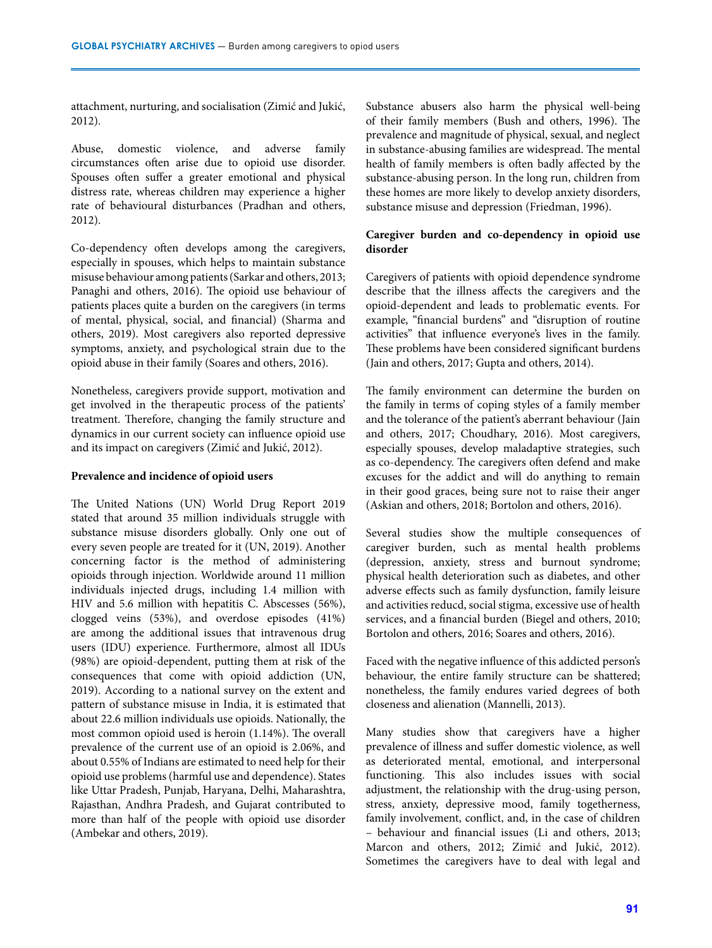attachment, nurturing, and socialisation (Zimić and Jukić, 2012).

Abuse, domestic violence, and adverse family circumstances often arise due to opioid use disorder. Spouses often suffer a greater emotional and physical distress rate, whereas children may experience a higher rate of behavioural disturbances (Pradhan and others, 2012).

Co-dependency often develops among the caregivers, especially in spouses, which helps to maintain substance misuse behaviour among patients (Sarkar and others, 2013; Panaghi and others, 2016). The opioid use behaviour of patients places quite a burden on the caregivers (in terms of mental, physical, social, and financial) (Sharma and others, 2019). Most caregivers also reported depressive symptoms, anxiety, and psychological strain due to the opioid abuse in their family (Soares and others, 2016).

Nonetheless, caregivers provide support, motivation and get involved in the therapeutic process of the patients' treatment. Therefore, changing the family structure and dynamics in our current society can influence opioid use and its impact on caregivers (Zimić and Jukić, 2012).

### **Prevalence and incidence of opioid users**

The United Nations (UN) World Drug Report 2019 stated that around 35 million individuals struggle with substance misuse disorders globally. Only one out of every seven people are treated for it (UN, 2019). Another concerning factor is the method of administering opioids through injection. Worldwide around 11 million individuals injected drugs, including 1.4 million with HIV and 5.6 million with hepatitis C. Abscesses (56%), clogged veins (53%), and overdose episodes (41%) are among the additional issues that intravenous drug users (IDU) experience. Furthermore, almost all IDUs (98%) are opioid-dependent, putting them at risk of the consequences that come with opioid addiction (UN, 2019). According to a national survey on the extent and pattern of substance misuse in India, it is estimated that about 22.6 million individuals use opioids. Nationally, the most common opioid used is heroin (1.14%). The overall prevalence of the current use of an opioid is 2.06%, and about 0.55% of Indians are estimated to need help for their opioid use problems (harmful use and dependence). States like Uttar Pradesh, Punjab, Haryana, Delhi, Maharashtra, Rajasthan, Andhra Pradesh, and Gujarat contributed to more than half of the people with opioid use disorder (Ambekar and others, 2019).

Substance abusers also harm the physical well-being of their family members (Bush and others, 1996). The prevalence and magnitude of physical, sexual, and neglect in substance-abusing families are widespread. The mental health of family members is often badly affected by the substance-abusing person. In the long run, children from these homes are more likely to develop anxiety disorders, substance misuse and depression (Friedman, 1996).

## **Caregiver burden and co-dependency in opioid use disorder**

Caregivers of patients with opioid dependence syndrome describe that the illness affects the caregivers and the opioid-dependent and leads to problematic events. For example, "financial burdens" and "disruption of routine activities" that influence everyone's lives in the family. These problems have been considered significant burdens (Jain and others, 2017; Gupta and others, 2014).

The family environment can determine the burden on the family in terms of coping styles of a family member and the tolerance of the patient's aberrant behaviour (Jain and others, 2017; Choudhary, 2016). Most caregivers, especially spouses, develop maladaptive strategies, such as co-dependency. The caregivers often defend and make excuses for the addict and will do anything to remain in their good graces, being sure not to raise their anger (Askian and others, 2018; Bortolon and others, 2016).

Several studies show the multiple consequences of caregiver burden, such as mental health problems (depression, anxiety, stress and burnout syndrome; physical health deterioration such as diabetes, and other adverse effects such as family dysfunction, family leisure and activities reducd, social stigma, excessive use of health services, and a financial burden (Biegel and others, 2010; Bortolon and others, 2016; Soares and others, 2016).

Faced with the negative influence of this addicted person's behaviour, the entire family structure can be shattered; nonetheless, the family endures varied degrees of both closeness and alienation (Mannelli, 2013).

Many studies show that caregivers have a higher prevalence of illness and suffer domestic violence, as well as deteriorated mental, emotional, and interpersonal functioning. This also includes issues with social adjustment, the relationship with the drug-using person, stress, anxiety, depressive mood, family togetherness, family involvement, conflict, and, in the case of children – behaviour and financial issues (Li and others, 2013; Marcon and others, 2012; Zimić and Jukić, 2012). Sometimes the caregivers have to deal with legal and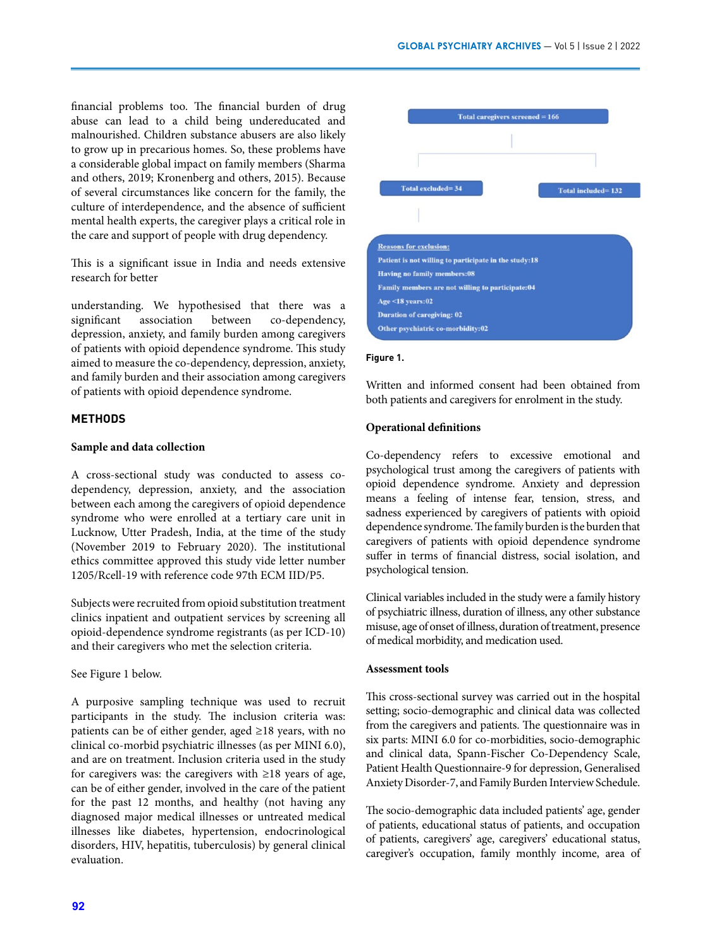financial problems too. The financial burden of drug abuse can lead to a child being undereducated and malnourished. Children substance abusers are also likely to grow up in precarious homes. So, these problems have a considerable global impact on family members (Sharma and others, 2019; Kronenberg and others, 2015). Because of several circumstances like concern for the family, the culture of interdependence, and the absence of sufficient mental health experts, the caregiver plays a critical role in the care and support of people with drug dependency.

This is a significant issue in India and needs extensive research for better

understanding. We hypothesised that there was a significant association between co-dependency, depression, anxiety, and family burden among caregivers of patients with opioid dependence syndrome. This study aimed to measure the co-dependency, depression, anxiety, and family burden and their association among caregivers of patients with opioid dependence syndrome.

### **METHODS**

#### **Sample and data collection**

A cross-sectional study was conducted to assess codependency, depression, anxiety, and the association between each among the caregivers of opioid dependence syndrome who were enrolled at a tertiary care unit in Lucknow, Utter Pradesh, India, at the time of the study (November 2019 to February 2020). The institutional ethics committee approved this study vide letter number 1205/Rcell-19 with reference code 97th ECM IID/P5.

Subjects were recruited from opioid substitution treatment clinics inpatient and outpatient services by screening all opioid-dependence syndrome registrants (as per ICD-10) and their caregivers who met the selection criteria.

#### See Figure 1 below.

A purposive sampling technique was used to recruit participants in the study. The inclusion criteria was: patients can be of either gender, aged ≥18 years, with no clinical co-morbid psychiatric illnesses (as per MINI 6.0), and are on treatment. Inclusion criteria used in the study for caregivers was: the caregivers with ≥18 years of age, can be of either gender, involved in the care of the patient for the past 12 months, and healthy (not having any diagnosed major medical illnesses or untreated medical illnesses like diabetes, hypertension, endocrinological disorders, HIV, hepatitis, tuberculosis) by general clinical evaluation.



#### **Figure 1.**

Written and informed consent had been obtained from both patients and caregivers for enrolment in the study.

### **Operational definitions**

Co-dependency refers to excessive emotional and psychological trust among the caregivers of patients with opioid dependence syndrome. Anxiety and depression means a feeling of intense fear, tension, stress, and sadness experienced by caregivers of patients with opioid dependence syndrome. The family burden is the burden that caregivers of patients with opioid dependence syndrome suffer in terms of financial distress, social isolation, and psychological tension.

Clinical variables included in the study were a family history of psychiatric illness, duration of illness, any other substance misuse, age of onset of illness, duration of treatment, presence of medical morbidity, and medication used.

### **Assessment tools**

This cross-sectional survey was carried out in the hospital setting; socio-demographic and clinical data was collected from the caregivers and patients. The questionnaire was in six parts: MINI 6.0 for co-morbidities, socio-demographic and clinical data, Spann-Fischer Co-Dependency Scale, Patient Health Questionnaire-9 for depression, Generalised Anxiety Disorder-7, and Family Burden Interview Schedule.

The socio-demographic data included patients' age, gender of patients, educational status of patients, and occupation of patients, caregivers' age, caregivers' educational status, caregiver's occupation, family monthly income, area of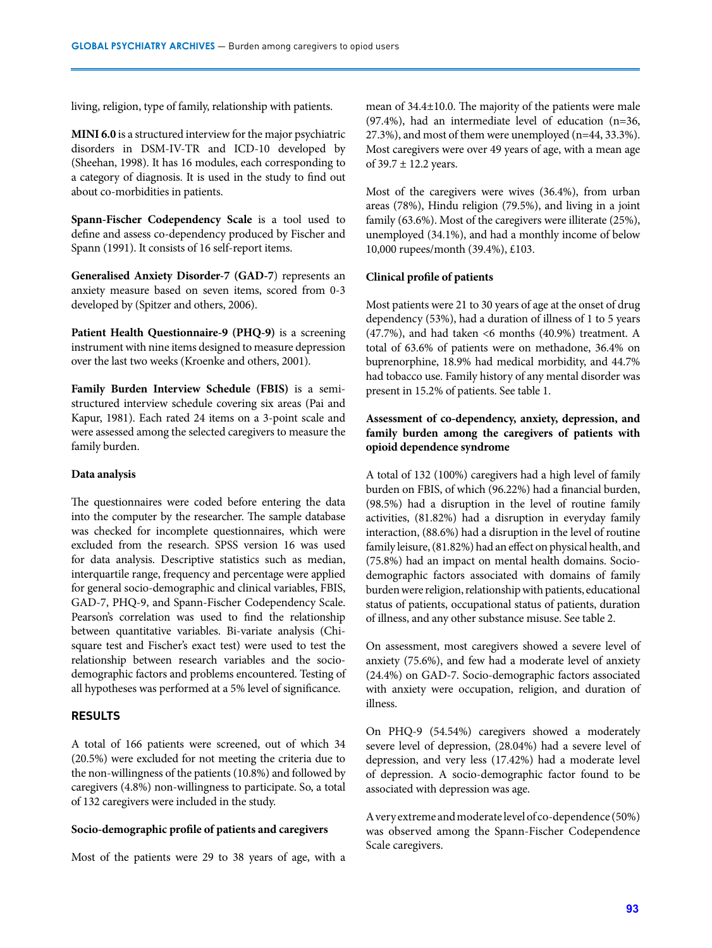living, religion, type of family, relationship with patients.

**MINI 6.0** is a structured interview for the major psychiatric disorders in DSM-IV-TR and ICD-10 developed by (Sheehan, 1998). It has 16 modules, each corresponding to a category of diagnosis. It is used in the study to find out about co-morbidities in patients.

**Spann-Fischer Codependency Scale** is a tool used to define and assess co-dependency produced by Fischer and Spann (1991). It consists of 16 self-report items.

**Generalised Anxiety Disorder-7 (GAD-7**) represents an anxiety measure based on seven items, scored from 0-3 developed by (Spitzer and others, 2006).

**Patient Health Questionnaire-9 (PHQ-9)** is a screening instrument with nine items designed to measure depression over the last two weeks (Kroenke and others, 2001).

**Family Burden Interview Schedule (FBIS)** is a semistructured interview schedule covering six areas (Pai and Kapur, 1981). Each rated 24 items on a 3-point scale and were assessed among the selected caregivers to measure the family burden.

### **Data analysis**

The questionnaires were coded before entering the data into the computer by the researcher. The sample database was checked for incomplete questionnaires, which were excluded from the research. SPSS version 16 was used for data analysis. Descriptive statistics such as median, interquartile range, frequency and percentage were applied for general socio-demographic and clinical variables, FBIS, GAD-7, PHQ-9, and Spann-Fischer Codependency Scale. Pearson's correlation was used to find the relationship between quantitative variables. Bi-variate analysis (Chisquare test and Fischer's exact test) were used to test the relationship between research variables and the sociodemographic factors and problems encountered. Testing of all hypotheses was performed at a 5% level of significance.

#### **RESULTS**

A total of 166 patients were screened, out of which 34 (20.5%) were excluded for not meeting the criteria due to the non-willingness of the patients (10.8%) and followed by caregivers (4.8%) non-willingness to participate. So, a total of 132 caregivers were included in the study.

#### **Socio-demographic profile of patients and caregivers**

Most of the patients were 29 to 38 years of age, with a

mean of 34.4±10.0. The majority of the patients were male (97.4%), had an intermediate level of education (n=36, 27.3%), and most of them were unemployed (n=44, 33.3%). Most caregivers were over 49 years of age, with a mean age of  $39.7 \pm 12.2$  years.

Most of the caregivers were wives (36.4%), from urban areas (78%), Hindu religion (79.5%), and living in a joint family (63.6%). Most of the caregivers were illiterate (25%), unemployed (34.1%), and had a monthly income of below 10,000 rupees/month (39.4%), £103.

#### **Clinical profile of patients**

Most patients were 21 to 30 years of age at the onset of drug dependency (53%), had a duration of illness of 1 to 5 years (47.7%), and had taken <6 months (40.9%) treatment. A total of 63.6% of patients were on methadone, 36.4% on buprenorphine, 18.9% had medical morbidity, and 44.7% had tobacco use. Family history of any mental disorder was present in 15.2% of patients. See table 1.

## **Assessment of co-dependency, anxiety, depression, and family burden among the caregivers of patients with opioid dependence syndrome**

A total of 132 (100%) caregivers had a high level of family burden on FBIS, of which (96.22%) had a financial burden, (98.5%) had a disruption in the level of routine family activities, (81.82%) had a disruption in everyday family interaction, (88.6%) had a disruption in the level of routine family leisure, (81.82%) had an effect on physical health, and (75.8%) had an impact on mental health domains. Sociodemographic factors associated with domains of family burden were religion, relationship with patients, educational status of patients, occupational status of patients, duration of illness, and any other substance misuse. See table 2.

On assessment, most caregivers showed a severe level of anxiety (75.6%), and few had a moderate level of anxiety (24.4%) on GAD-7. Socio-demographic factors associated with anxiety were occupation, religion, and duration of illness.

On PHQ-9 (54.54%) caregivers showed a moderately severe level of depression, (28.04%) had a severe level of depression, and very less (17.42%) had a moderate level of depression. A socio-demographic factor found to be associated with depression was age.

A very extreme and moderate level of co-dependence (50%) was observed among the Spann-Fischer Codependence Scale caregivers.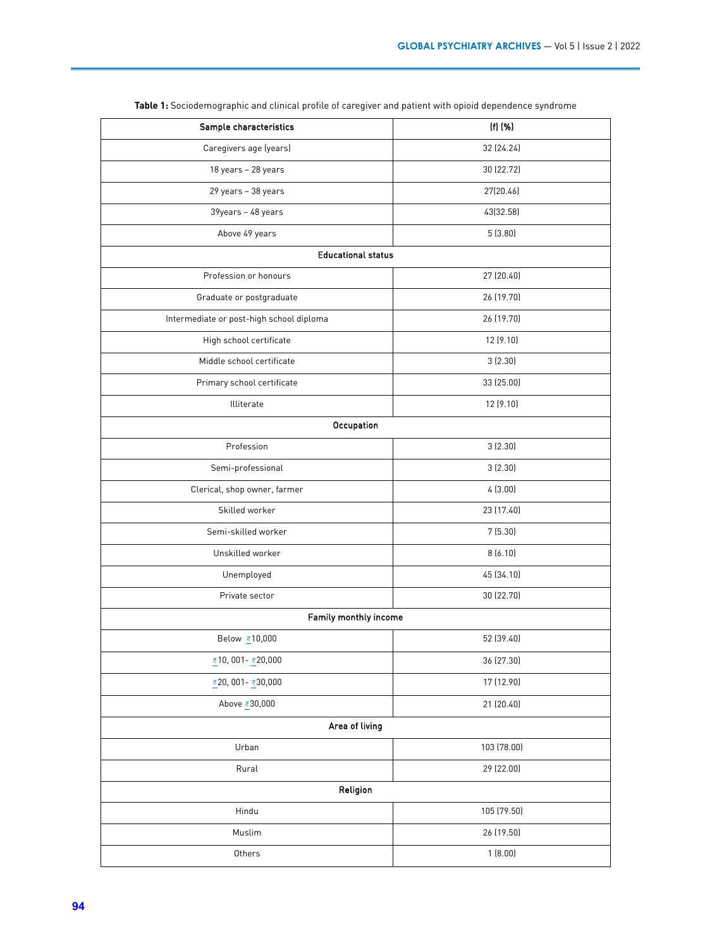| Sample characteristics                   | $(f)$ $(\%)$ |  |  |  |  |  |  |  |
|------------------------------------------|--------------|--|--|--|--|--|--|--|
| Caregivers age (years)                   | 32 (24.24)   |  |  |  |  |  |  |  |
| 18 years - 28 years                      | 30 (22.72)   |  |  |  |  |  |  |  |
| 29 years - 38 years                      | 27(20.46)    |  |  |  |  |  |  |  |
| 39years - 48 years                       | 43(32.58)    |  |  |  |  |  |  |  |
| Above 49 years                           | 5(3.80)      |  |  |  |  |  |  |  |
| <b>Educational status</b>                |              |  |  |  |  |  |  |  |
| Profession or honours                    | 27 (20.40)   |  |  |  |  |  |  |  |
| Graduate or postgraduate                 | 26 (19.70)   |  |  |  |  |  |  |  |
| Intermediate or post-high school diploma | 26 (19.70)   |  |  |  |  |  |  |  |
| High school certificate                  | 12 (9.10)    |  |  |  |  |  |  |  |
| Middle school certificate                | 3(2.30)      |  |  |  |  |  |  |  |
| Primary school certificate               | 33 (25.00)   |  |  |  |  |  |  |  |
| Illiterate                               | 12 (9.10)    |  |  |  |  |  |  |  |
| Occupation                               |              |  |  |  |  |  |  |  |
| Profession                               | 3(2.30)      |  |  |  |  |  |  |  |
| Semi-professional                        | 3(2.30)      |  |  |  |  |  |  |  |
| Clerical, shop owner, farmer             | 4(3.00)      |  |  |  |  |  |  |  |
| Skilled worker                           | 23 (17.40)   |  |  |  |  |  |  |  |
| Semi-skilled worker                      | 7(5.30)      |  |  |  |  |  |  |  |
| Unskilled worker                         | 8(6.10)      |  |  |  |  |  |  |  |
| Unemployed                               | 45 (34.10)   |  |  |  |  |  |  |  |
| Private sector                           | 30 (22.70)   |  |  |  |  |  |  |  |
| Family monthly income                    |              |  |  |  |  |  |  |  |
| Below ₹10,000                            | 52 (39.40)   |  |  |  |  |  |  |  |
| ₹10,001 - ₹20,000                        | 36 (27.30)   |  |  |  |  |  |  |  |
| ₹20,001- ₹30,000                         | 17 (12.90)   |  |  |  |  |  |  |  |
| Above ₹30,000                            | 21 (20.40)   |  |  |  |  |  |  |  |
| Area of living                           |              |  |  |  |  |  |  |  |
| Urban                                    | 103 (78.00)  |  |  |  |  |  |  |  |
| Rural                                    | 29 (22.00)   |  |  |  |  |  |  |  |
| Religion                                 |              |  |  |  |  |  |  |  |
| Hindu                                    | 105 (79.50)  |  |  |  |  |  |  |  |
| Muslim                                   | 26 (19.50)   |  |  |  |  |  |  |  |
| Others                                   | 1(8.00)      |  |  |  |  |  |  |  |

**Table 1:** Sociodemographic and clinical profile of caregiver and patient with opioid dependence syndrome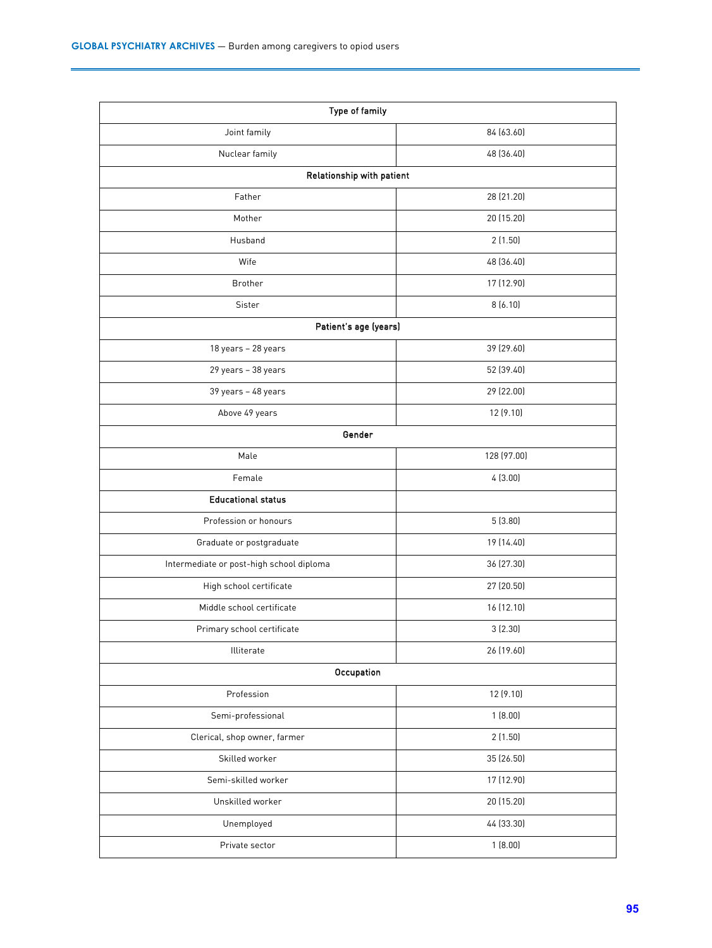| Type of family                           |             |  |  |  |  |  |
|------------------------------------------|-------------|--|--|--|--|--|
| Joint family                             | 84 (63.60)  |  |  |  |  |  |
| Nuclear family                           | 48 (36.40)  |  |  |  |  |  |
| Relationship with patient                |             |  |  |  |  |  |
| Father                                   | 28 (21.20)  |  |  |  |  |  |
| Mother                                   | 20 (15.20)  |  |  |  |  |  |
| Husband                                  | 2(1.50)     |  |  |  |  |  |
| Wife                                     | 48 (36.40)  |  |  |  |  |  |
| Brother                                  | 17 (12.90)  |  |  |  |  |  |
| Sister                                   | 8(6.10)     |  |  |  |  |  |
| Patient's age (years)                    |             |  |  |  |  |  |
| 18 years - 28 years                      | 39 (29.60)  |  |  |  |  |  |
| 29 years - 38 years                      | 52 (39.40)  |  |  |  |  |  |
| 39 years - 48 years                      | 29 (22.00)  |  |  |  |  |  |
| Above 49 years                           | 12 (9.10)   |  |  |  |  |  |
| Gender                                   |             |  |  |  |  |  |
| Male                                     | 128 (97.00) |  |  |  |  |  |
| Female                                   | 4(3.00)     |  |  |  |  |  |
| <b>Educational status</b>                |             |  |  |  |  |  |
| Profession or honours                    | 5(3.80)     |  |  |  |  |  |
| Graduate or postgraduate                 | 19 (14.40)  |  |  |  |  |  |
| Intermediate or post-high school diploma | 36 (27.30)  |  |  |  |  |  |
| High school certificate                  | 27 (20.50)  |  |  |  |  |  |
| Middle school certificate                | 16 (12.10)  |  |  |  |  |  |
| Primary school certificate               | 3(2.30)     |  |  |  |  |  |
| Illiterate                               | 26 (19.60)  |  |  |  |  |  |
| Occupation                               |             |  |  |  |  |  |
| Profession                               | 12 (9.10)   |  |  |  |  |  |
| Semi-professional                        | 1(8.00)     |  |  |  |  |  |
| Clerical, shop owner, farmer             | 2(1.50)     |  |  |  |  |  |
| Skilled worker                           | 35 (26.50)  |  |  |  |  |  |
| Semi-skilled worker                      | 17 (12.90)  |  |  |  |  |  |
| Unskilled worker                         | 20 (15.20)  |  |  |  |  |  |
| Unemployed                               | 44 (33.30)  |  |  |  |  |  |
| Private sector                           | 1(8.00)     |  |  |  |  |  |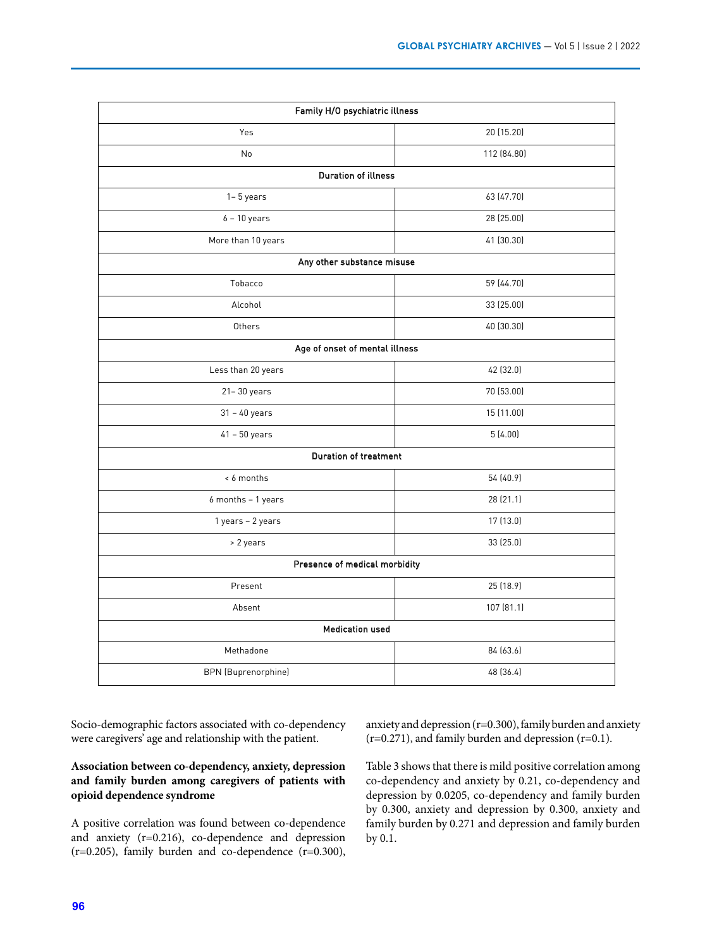| Family H/O psychiatric illness |             |  |  |  |  |  |  |  |
|--------------------------------|-------------|--|--|--|--|--|--|--|
| Yes                            | 20 (15.20)  |  |  |  |  |  |  |  |
| No                             | 112 (84.80) |  |  |  |  |  |  |  |
| <b>Duration of illness</b>     |             |  |  |  |  |  |  |  |
| $1 - 5$ years                  | 63 (47.70)  |  |  |  |  |  |  |  |
| $6 - 10$ years                 | 28 (25.00)  |  |  |  |  |  |  |  |
| More than 10 years             | 41 (30.30)  |  |  |  |  |  |  |  |
| Any other substance misuse     |             |  |  |  |  |  |  |  |
| Tobacco                        | 59 (44.70)  |  |  |  |  |  |  |  |
| Alcohol                        | 33 (25.00)  |  |  |  |  |  |  |  |
| Others                         | 40 (30.30)  |  |  |  |  |  |  |  |
| Age of onset of mental illness |             |  |  |  |  |  |  |  |
| Less than 20 years             | 42 (32.0)   |  |  |  |  |  |  |  |
| $21 - 30$ years                | 70 (53.00)  |  |  |  |  |  |  |  |
| $31 - 40$ years                | 15 (11.00)  |  |  |  |  |  |  |  |
| $41 - 50$ years                | 5(4.00)     |  |  |  |  |  |  |  |
| <b>Duration of treatment</b>   |             |  |  |  |  |  |  |  |
| < 6 months                     | 54 (40.9)   |  |  |  |  |  |  |  |
| 6 months - 1 years             | 28 (21.1)   |  |  |  |  |  |  |  |
| 1 years - 2 years              | 17 (13.0)   |  |  |  |  |  |  |  |
| > 2 years                      | 33 (25.0)   |  |  |  |  |  |  |  |
| Presence of medical morbidity  |             |  |  |  |  |  |  |  |
| Present                        | 25 (18.9)   |  |  |  |  |  |  |  |
| Absent                         | 107 (81.1)  |  |  |  |  |  |  |  |
| <b>Medication used</b>         |             |  |  |  |  |  |  |  |
| Methadone                      | 84 (63.6)   |  |  |  |  |  |  |  |
| <b>BPN</b> (Buprenorphine)     | 48 (36.4)   |  |  |  |  |  |  |  |

Socio-demographic factors associated with co-dependency were caregivers' age and relationship with the patient.

## **Association between co-dependency, anxiety, depression and family burden among caregivers of patients with opioid dependence syndrome**

A positive correlation was found between co-dependence and anxiety (r=0.216), co-dependence and depression (r=0.205), family burden and co-dependence (r=0.300),

anxiety and depression (r=0.300), family burden and anxiety (r=0.271), and family burden and depression (r=0.1).

Table 3 shows that there is mild positive correlation among co-dependency and anxiety by 0.21, co-dependency and depression by 0.0205, co-dependency and family burden by 0.300, anxiety and depression by 0.300, anxiety and family burden by 0.271 and depression and family burden by 0.1.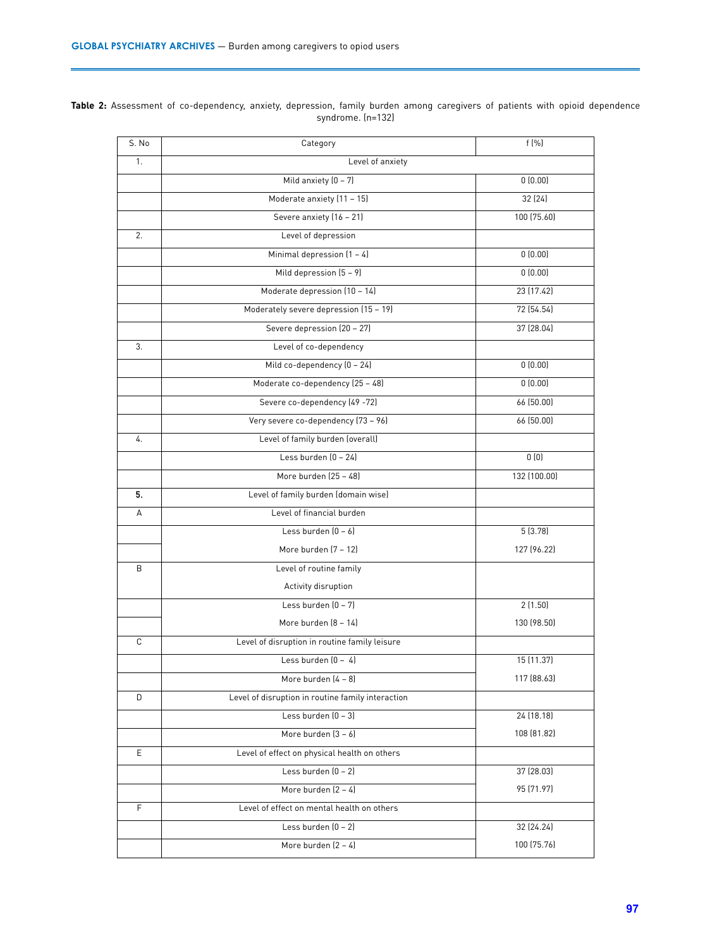**Table 2:** Assessment of co-dependency, anxiety, depression, family burden among caregivers of patients with opioid dependence syndrome. (n=132)

| S. No | Category                                          | f(%)         |
|-------|---------------------------------------------------|--------------|
| 1.    | Level of anxiety                                  |              |
|       | Mild anxiety $(0 - 7)$                            | 0(0.00)      |
|       | Moderate anxiety (11 - 15)                        | 32 (24)      |
|       | Severe anxiety (16 - 21)                          | 100 (75.60)  |
| 2.    | Level of depression                               |              |
|       | Minimal depression $(1 - 4)$                      | 0(0.00)      |
|       | Mild depression $(5 - 9)$                         | 0(0.00)      |
|       | Moderate depression (10 - 14)                     | 23 (17.42)   |
|       | Moderately severe depression (15 - 19)            | 72 (54.54)   |
|       | Severe depression (20 - 27)                       | 37 (28.04)   |
| 3.    | Level of co-dependency                            |              |
|       | Mild co-dependency (0 - 24)                       | 0(0.00)      |
|       | Moderate co-dependency (25 - 48)                  | 0(0.00)      |
|       | Severe co-dependency (49 -72)                     | 66(50.00)    |
|       | Very severe co-dependency (73 - 96)               | 66 (50.00)   |
| 4.    | Level of family burden (overall)                  |              |
|       | Less burden $[0 - 24]$                            | 0(0)         |
|       | More burden (25 - 48)                             | 132 (100.00) |
| 5.    | Level of family burden (domain wise)              |              |
| A     | Level of financial burden                         |              |
|       | Less burden $(0 - 6)$                             | 5(3.78)      |
|       | More burden (7 - 12)                              | 127 (96.22)  |
| B     | Level of routine family                           |              |
|       | Activity disruption                               |              |
|       | Less burden $(0 - 7)$                             | 2(1.50)      |
|       | More burden (8 - 14)                              | 130 (98.50)  |
| C     | Level of disruption in routine family leisure     |              |
|       | Less burden $[0 - 4]$                             | 15 (11.37)   |
|       | More burden (4 - 8)                               | 117 (88.63)  |
| D     | Level of disruption in routine family interaction |              |
|       | Less burden $[0 - 3]$                             | 24 (18.18)   |
|       | More burden $(3 - 6)$                             | 108 (81.82)  |
| E     | Level of effect on physical health on others      |              |
|       | Less burden $[0 - 2]$                             | 37 (28.03)   |
|       | More burden $[2 - 4]$                             | 95 (71.97)   |
| F.    | Level of effect on mental health on others        |              |
|       | Less burden $(0 - 2)$                             | 32 (24.24)   |
|       | More burden $(2 - 4)$                             | 100 (75.76)  |
|       |                                                   |              |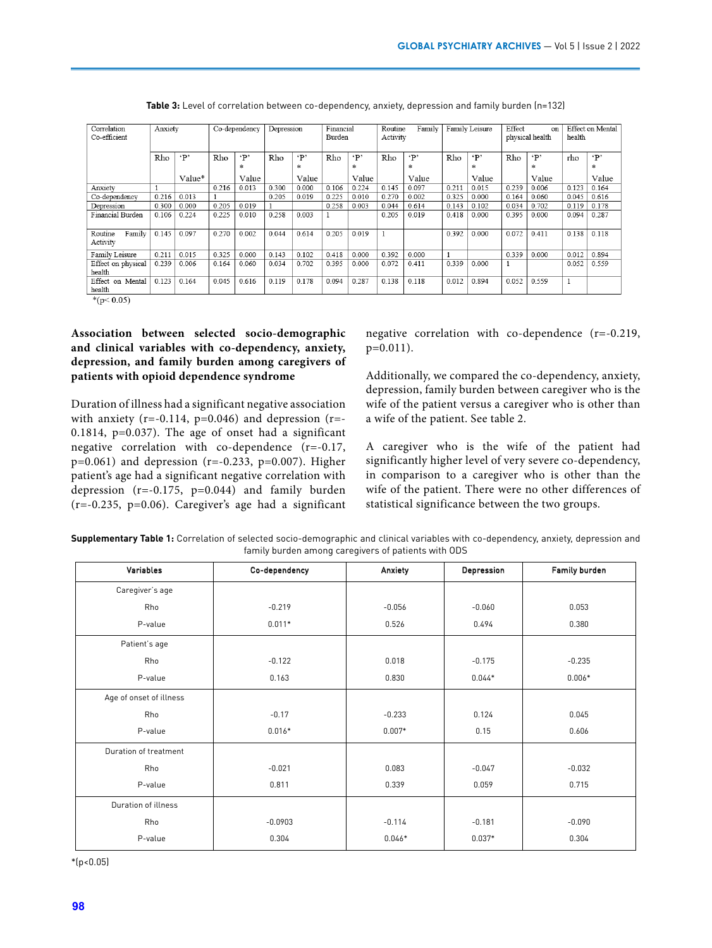| Correlation<br>Co-efficient   | Anxiety |           |       | Co-dependency | Depression |           | Financial<br>Burden |           | Routine<br>Activity | Family     | Family Leisure |            | Effect<br>on<br>physical health |           | Effect on Mental<br>health |           |
|-------------------------------|---------|-----------|-------|---------------|------------|-----------|---------------------|-----------|---------------------|------------|----------------|------------|---------------------------------|-----------|----------------------------|-----------|
|                               | Rho     | $\cdot$ P | Rho   | $\cdot$ P     | Rho        | $\cdot$ P | Rho                 | $\cdot$ P | Rho                 | $\cdot$ P' | Rho            | $\cdot$ P' | Rho                             | $\cdot$ P | rho                        | $\cdot$ P |
|                               |         |           |       | *             |            | *         |                     | *         |                     | *          |                | *          |                                 | *         |                            | ÷.        |
|                               |         | Value*    |       | Value         |            | Value     |                     | Value     |                     | Value      |                | Value      |                                 | Value     |                            | Value     |
| Anxiety                       |         |           | 0.216 | 0.013         | 0.300      | 0.000     | 0.106               | 0.224     | 0.145               | 0.097      | 0.211          | 0.015      | 0.239                           | 0.006     | 0.123                      | 0.164     |
| Co-dependency                 | 0.216   | 0.013     |       |               | 0.205      | 0.019     | 0.225               | 0.010     | 0.270               | 0.002      | 0.325          | 0.000      | 0.164                           | 0.060     | 0.045                      | 0.616     |
| Depression                    | 0.300   | 0.000     | 0.205 | 0.019         |            |           | 0.258               | 0.003     | 0.044               | 0.614      | 0.143          | 0.102      | 0.034                           | 0.702     | 0.119                      | 0.178     |
| Financial Burden              | 0.106   | 0.224     | 0.225 | 0.010         | 0.258      | 0.003     |                     |           | 0.205               | 0.019      | 0.418          | 0.000      | 0.395                           | 0.000     | 0.094                      | 0.287     |
| Family<br>Routine<br>Activity | 0.145   | 0.097     | 0.270 | 0.002         | 0.044      | 0.614     | 0.205               | 0.019     |                     |            | 0.392          | 0.000      | 0.072                           | 0.411     | 0.138                      | 0.118     |
| Family Leisure                | 0.211   | 0.015     | 0.325 | 0.000         | 0.143      | 0.102     | 0.418               | 0.000     | 0.392               | 0.000      |                |            | 0.339                           | 0.000     | 0.012                      | 0.894     |
| Effect on physical<br>health  | 0.239   | 0.006     | 0.164 | 0.060         | 0.034      | 0.702     | 0.395               | 0.000     | 0.072               | 0.411      | 0.339          | 0.000      |                                 |           | 0.052                      | 0.559     |
| Effect on Mental<br>health    | 0.123   | 0.164     | 0.045 | 0.616         | 0.119      | 0.178     | 0.094               | 0.287     | 0.138               | 0.118      | 0.012          | 0.894      | 0.052                           | 0.559     |                            |           |
| $*(n < 0.05)$                 |         |           |       |               |            |           |                     |           |                     |            |                |            |                                 |           |                            |           |

| <b>Table 3:</b> Level of correlation between co-dependency, anxiety, depression and family burden (n=132) |  |  |  |
|-----------------------------------------------------------------------------------------------------------|--|--|--|
|-----------------------------------------------------------------------------------------------------------|--|--|--|

 $*(p<0.05)$ 

## **Association between selected socio-demographic and clinical variables with co-dependency, anxiety, depression, and family burden among caregivers of patients with opioid dependence syndrome**

Duration of illness had a significant negative association with anxiety ( $r=-0.114$ ,  $p=0.046$ ) and depression ( $r=-$ 0.1814, p=0.037). The age of onset had a significant negative correlation with co-dependence (r=-0.17, p=0.061) and depression (r=-0.233, p=0.007). Higher patient's age had a significant negative correlation with depression (r=-0.175, p=0.044) and family burden (r=-0.235, p=0.06). Caregiver's age had a significant negative correlation with co-dependence (r=-0.219, p=0.011).

Additionally, we compared the co-dependency, anxiety, depression, family burden between caregiver who is the wife of the patient versus a caregiver who is other than a wife of the patient. See table 2.

A caregiver who is the wife of the patient had significantly higher level of very severe co-dependency, in comparison to a caregiver who is other than the wife of the patient. There were no other differences of statistical significance between the two groups.

| Supplementary Table 1: Correlation of selected socio-demographic and clinical variables with co-dependency, anxiety, depression and |  |
|-------------------------------------------------------------------------------------------------------------------------------------|--|
| family burden among caregivers of patients with ODS                                                                                 |  |

| Variables               |               | Anxiety  | Depression | <b>Family burden</b> |  |
|-------------------------|---------------|----------|------------|----------------------|--|
|                         | Co-dependency |          |            |                      |  |
| Caregiver's age         |               |          |            |                      |  |
| Rho                     | $-0.219$      | $-0.056$ | $-0.060$   | 0.053                |  |
| P-value                 | $0.011*$      | 0.526    | 0.494      | 0.380                |  |
| Patient's age           |               |          |            |                      |  |
| Rho                     | $-0.122$      | 0.018    | $-0.175$   | $-0.235$             |  |
| P-value                 | 0.163         | 0.830    | $0.044*$   | $0.006*$             |  |
| Age of onset of illness |               |          |            |                      |  |
| Rho                     | $-0.17$       | $-0.233$ | 0.124      | 0.045                |  |
| P-value                 | $0.016*$      | $0.007*$ | 0.15       | 0.606                |  |
| Duration of treatment   |               |          |            |                      |  |
| Rho                     | $-0.021$      | 0.083    | $-0.047$   | $-0.032$             |  |
| P-value                 | 0.811         | 0.339    | 0.059      | 0.715                |  |
| Duration of illness     |               |          |            |                      |  |
| Rho                     | $-0.0903$     | $-0.114$ | $-0.181$   | $-0.090$             |  |
| P-value                 | 0.304         | $0.046*$ | $0.037*$   | 0.304                |  |

 $*(p<0.05)$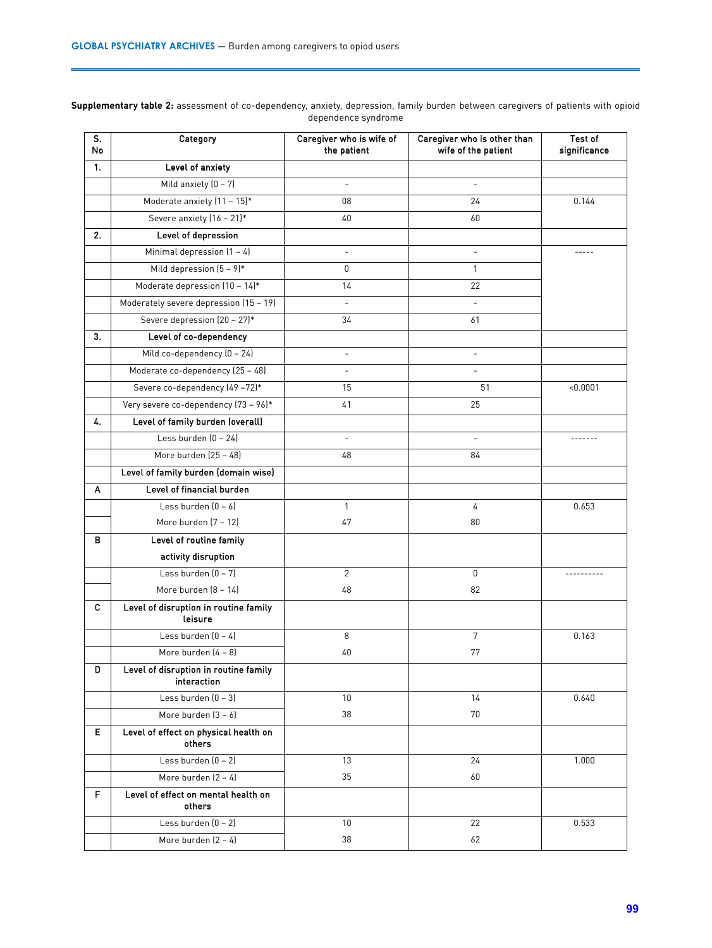| S.<br>No | Category                                             | Caregiver who is wife of<br>the patient | Caregiver who is other than<br>wife of the patient | <b>Test of</b><br>significance |
|----------|------------------------------------------------------|-----------------------------------------|----------------------------------------------------|--------------------------------|
| 1.       | Level of anxiety                                     |                                         |                                                    |                                |
|          | Mild anxiety $(0 - 7)$                               | $\overline{\phantom{a}}$                | $\overline{\phantom{a}}$                           |                                |
|          | Moderate anxiety (11 - 15)*                          | 08                                      | 24                                                 | 0.144                          |
|          | Severe anxiety (16 - 21)*                            | 40                                      | 60                                                 |                                |
| 2.       | Level of depression                                  |                                         |                                                    |                                |
|          | Minimal depression $(1 - 4)$                         | $\overline{\phantom{a}}$                | $\overline{\phantom{a}}$                           | -----                          |
|          | Mild depression $(5 - 9)*$                           | 0                                       | $\mathbf{1}$                                       |                                |
|          | Moderate depression (10 - 14)*                       | 14                                      | 22                                                 |                                |
|          | Moderately severe depression (15 - 19)               | $\overline{a}$                          | $\bar{a}$                                          |                                |
|          | Severe depression (20 - 27)*                         | 34                                      | 61                                                 |                                |
| 3.       | Level of co-dependency                               |                                         |                                                    |                                |
|          | Mild co-dependency (0 - 24)                          | $\sim$                                  |                                                    |                                |
|          | Moderate co-dependency (25 - 48)                     | $\overline{\phantom{a}}$                | $\overline{\phantom{a}}$                           |                                |
|          | Severe co-dependency (49-72)*                        | 15                                      | 51                                                 | < 0.0001                       |
|          | Very severe co-dependency (73 - 96)*                 | 41                                      | 25                                                 |                                |
| 4.       | Level of family burden (overall)                     |                                         |                                                    |                                |
|          | Less burden $[0 - 24]$                               | $\overline{\phantom{a}}$                | $\equiv$                                           | -------                        |
|          | More burden (25 - 48)                                | 48                                      | 84                                                 |                                |
|          | Level of family burden (domain wise)                 |                                         |                                                    |                                |
| A        | Level of financial burden                            |                                         |                                                    |                                |
|          | Less burden $[0 - 6]$                                | $\mathbf{1}$                            | 4                                                  | 0.653                          |
|          | More burden (7 - 12)                                 | 47                                      | 80                                                 |                                |
| в        | Level of routine family                              |                                         |                                                    |                                |
|          | activity disruption                                  |                                         |                                                    |                                |
|          | Less burden $(0 - 7)$                                | $\overline{2}$                          | 0                                                  | ----------                     |
|          | More burden (8 - 14)                                 | 48                                      | 82                                                 |                                |
| C        | Level of disruption in routine family<br>leisure     |                                         |                                                    |                                |
|          | Less burden $(0 - 4)$                                | 8                                       | $\overline{7}$                                     | 0.163                          |
|          | More burden $(4 - 8)$                                | 40                                      | 77                                                 |                                |
| D        | Level of disruption in routine family<br>interaction |                                         |                                                    |                                |
|          | Less burden $(0 - 3)$                                | 10                                      | 14                                                 | 0.640                          |
|          | More burden [3 - 6]                                  | 38                                      | $70\,$                                             |                                |
| E        | Level of effect on physical health on<br>others      |                                         |                                                    |                                |
|          | Less burden $(0 - 2)$                                | 13                                      | 24                                                 | 1.000                          |
|          | More burden (2 - 4)                                  | 35                                      | 60                                                 |                                |
| F        | Level of effect on mental health on<br>others        |                                         |                                                    |                                |
|          | Less burden (0 - 2)                                  | 10 <sup>°</sup>                         | 22                                                 | 0.533                          |
|          | More burden $(2 - 4)$                                | 38                                      | 62                                                 |                                |

**Supplementary table 2:** assessment of co-dependency, anxiety, depression, family burden between caregivers of patients with opioid dependence syndrome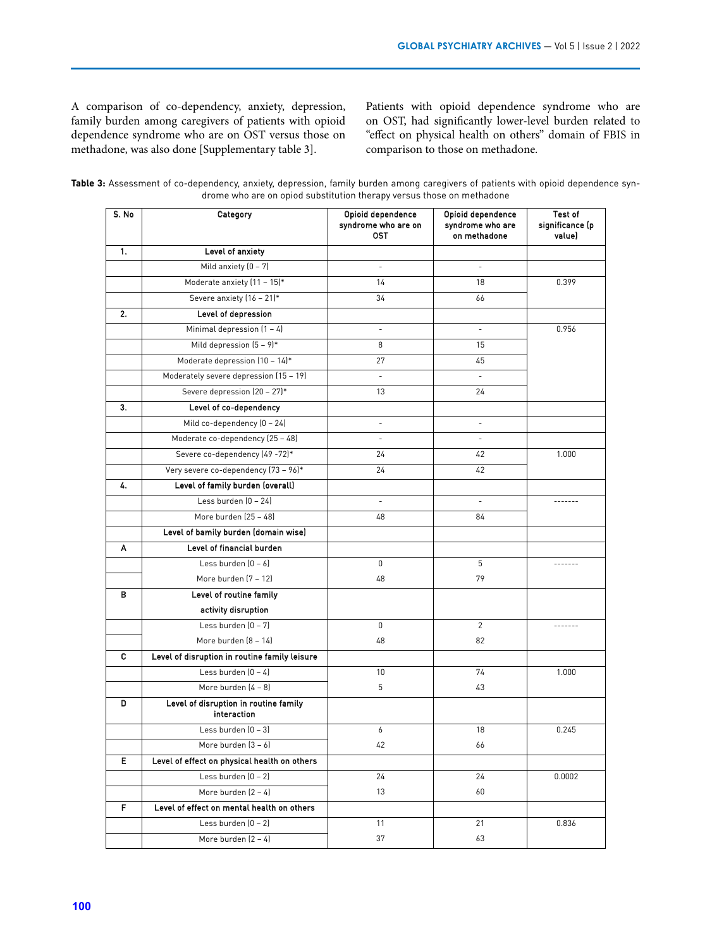A comparison of co-dependency, anxiety, depression, family burden among caregivers of patients with opioid dependence syndrome who are on OST versus those on methadone, was also done [Supplementary table 3].

Patients with opioid dependence syndrome who are on OST, had significantly lower-level burden related to "effect on physical health on others" domain of FBIS in comparison to those on methadone.

| Table 3: Assessment of co-dependency, anxiety, depression, family burden among caregivers of patients with opioid dependence syn- |  |                                                                       |  |  |  |  |  |
|-----------------------------------------------------------------------------------------------------------------------------------|--|-----------------------------------------------------------------------|--|--|--|--|--|
|                                                                                                                                   |  | drome who are on opiod substitution therapy versus those on methadone |  |  |  |  |  |

| S. No | Category                                             | Opioid dependence<br>syndrome who are on<br>0ST | Opioid dependence<br>syndrome who are<br>on methadone | Test of<br>significance (p<br>value) |
|-------|------------------------------------------------------|-------------------------------------------------|-------------------------------------------------------|--------------------------------------|
| 1.    | Level of anxiety                                     |                                                 |                                                       |                                      |
|       | Mild anxiety $[0 - 7]$                               | $\overline{\phantom{a}}$                        | ÷,                                                    |                                      |
|       | Moderate anxiety (11 - 15)*                          | 14                                              | 18                                                    | 0.399                                |
|       | Severe anxiety (16 - 21)*                            | 34                                              | 66                                                    |                                      |
| 2.    | Level of depression                                  |                                                 |                                                       |                                      |
|       | Minimal depression $(1 - 4)$                         | $\sim$                                          | ÷,                                                    | 0.956                                |
|       | Mild depression $(5 - 9)^*$                          | 8                                               | 15                                                    |                                      |
|       | Moderate depression $(10 - 14)^*$                    | 27                                              | 45                                                    |                                      |
|       | Moderately severe depression (15 - 19)               | $\sim$                                          | ÷,                                                    |                                      |
|       | Severe depression (20 - 27)*                         | 13                                              | 24                                                    |                                      |
| 3.    | Level of co-dependency                               |                                                 |                                                       |                                      |
|       | Mild co-dependency (0 - 24)                          | $\overline{\phantom{a}}$                        | $\overline{\phantom{a}}$                              |                                      |
|       | Moderate co-dependency (25 - 48)                     | $\bar{a}$                                       | ÷.                                                    |                                      |
|       | Severe co-dependency (49 -72)*                       | 24                                              | 42                                                    | 1.000                                |
|       | Very severe co-dependency (73 - 96)*                 | 24                                              | 42                                                    |                                      |
| 4.    | Level of family burden (overall)                     |                                                 |                                                       |                                      |
|       | Less burden $(0 - 24)$                               | $\sim$                                          | ÷.                                                    | -------                              |
|       | More burden (25 - 48)                                | 48                                              | 84                                                    |                                      |
|       | Level of bamily burden (domain wise)                 |                                                 |                                                       |                                      |
| A     | Level of financial burden                            |                                                 |                                                       |                                      |
|       | Less burden $(0 - 6)$                                | 0                                               | 5                                                     |                                      |
|       | More burden (7 - 12)                                 | 48                                              | 79                                                    |                                      |
| в     | Level of routine family                              |                                                 |                                                       |                                      |
|       | activity disruption                                  |                                                 |                                                       |                                      |
|       | Less burden $(0 - 7)$                                | $\mathbf 0$                                     | $\overline{2}$                                        | -------                              |
|       | More burden (8 - 14)                                 | 48                                              | 82                                                    |                                      |
| c     | Level of disruption in routine family leisure        |                                                 |                                                       |                                      |
|       | Less burden $(0 - 4)$                                | 10                                              | 74                                                    | 1.000                                |
|       | More burden (4 - 8)                                  | 5                                               | 43                                                    |                                      |
| D     | Level of disruption in routine family<br>interaction |                                                 |                                                       |                                      |
|       | Less burden $(0 - 3)$                                | 6                                               | 18                                                    | 0.245                                |
|       | More burden (3 - 6)                                  | 42                                              | 66                                                    |                                      |
| E     | Level of effect on physical health on others         |                                                 |                                                       |                                      |
|       | Less burden $(0 - 2)$                                | 24                                              | 24                                                    | 0.0002                               |
|       | More burden $(2 - 4)$                                | 13                                              | 60                                                    |                                      |
| F     | Level of effect on mental health on others           |                                                 |                                                       |                                      |
|       | Less burden (0 - 2)                                  | 11                                              | 21                                                    | 0.836                                |
|       | More burden (2 - 4)                                  | 37                                              | 63                                                    |                                      |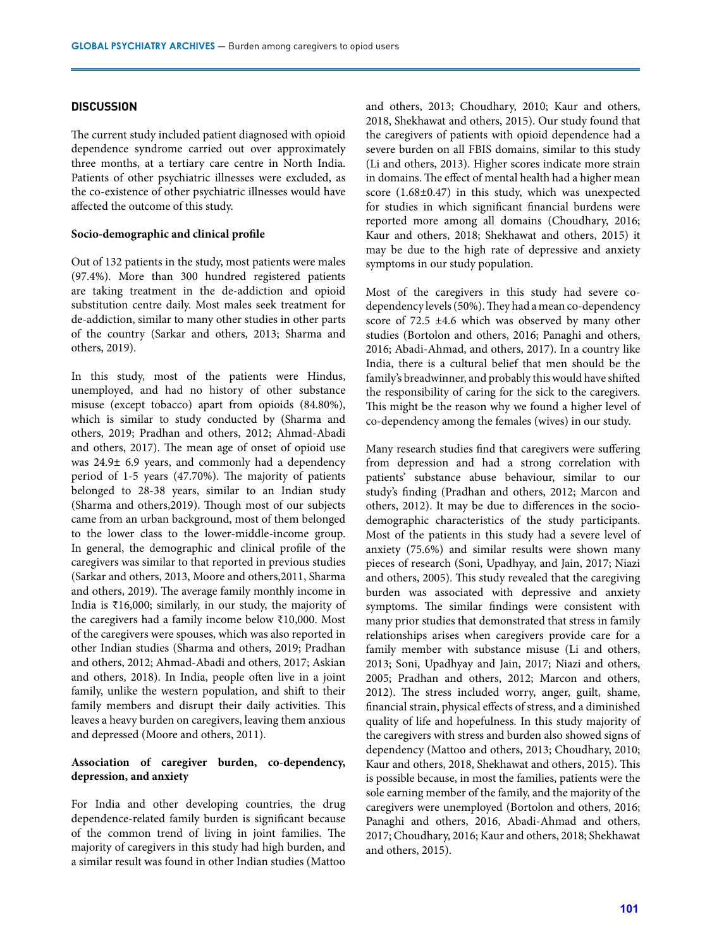### **DISCUSSION**

The current study included patient diagnosed with opioid dependence syndrome carried out over approximately three months, at a tertiary care centre in North India. Patients of other psychiatric illnesses were excluded, as the co-existence of other psychiatric illnesses would have affected the outcome of this study.

### **Socio-demographic and clinical profile**

Out of 132 patients in the study, most patients were males (97.4%). More than 300 hundred registered patients are taking treatment in the de-addiction and opioid substitution centre daily. Most males seek treatment for de-addiction, similar to many other studies in other parts of the country (Sarkar and others, 2013; Sharma and others, 2019).

In this study, most of the patients were Hindus, unemployed, and had no history of other substance misuse (except tobacco) apart from opioids (84.80%), which is similar to study conducted by (Sharma and others, 2019; Pradhan and others, 2012; Ahmad-Abadi and others, 2017). The mean age of onset of opioid use was 24.9± 6.9 years, and commonly had a dependency period of 1-5 years (47.70%). The majority of patients belonged to 28-38 years, similar to an Indian study (Sharma and others,2019). Though most of our subjects came from an urban background, most of them belonged to the lower class to the lower-middle-income group. In general, the demographic and clinical profile of the caregivers was similar to that reported in previous studies (Sarkar and others, 2013, Moore and others,2011, Sharma and others, 2019). The average family monthly income in India is ₹16,000; similarly, in our study, the majority of the caregivers had a family income below ₹10,000. Most of the caregivers were spouses, which was also reported in other Indian studies (Sharma and others, 2019; Pradhan and others, 2012; Ahmad-Abadi and others, 2017; Askian and others, 2018). In India, people often live in a joint family, unlike the western population, and shift to their family members and disrupt their daily activities. This leaves a heavy burden on caregivers, leaving them anxious and depressed (Moore and others, 2011).

## **Association of caregiver burden, co-dependency, depression, and anxiety**

For India and other developing countries, the drug dependence-related family burden is significant because of the common trend of living in joint families. The majority of caregivers in this study had high burden, and a similar result was found in other Indian studies (Mattoo and others, 2013; Choudhary, 2010; Kaur and others, 2018, Shekhawat and others, 2015). Our study found that the caregivers of patients with opioid dependence had a severe burden on all FBIS domains, similar to this study (Li and others, 2013). Higher scores indicate more strain in domains. The effect of mental health had a higher mean score (1.68±0.47) in this study, which was unexpected for studies in which significant financial burdens were reported more among all domains (Choudhary, 2016; Kaur and others, 2018; Shekhawat and others, 2015) it may be due to the high rate of depressive and anxiety symptoms in our study population.

Most of the caregivers in this study had severe codependency levels (50%). They had a mean co-dependency score of 72.5 ±4.6 which was observed by many other studies (Bortolon and others, 2016; Panaghi and others, 2016; Abadi-Ahmad, and others, 2017). In a country like India, there is a cultural belief that men should be the family's breadwinner, and probably this would have shifted the responsibility of caring for the sick to the caregivers. This might be the reason why we found a higher level of co-dependency among the females (wives) in our study.

Many research studies find that caregivers were suffering from depression and had a strong correlation with patients' substance abuse behaviour, similar to our study's finding (Pradhan and others, 2012; Marcon and others, 2012). It may be due to differences in the sociodemographic characteristics of the study participants. Most of the patients in this study had a severe level of anxiety (75.6%) and similar results were shown many pieces of research (Soni, Upadhyay, and Jain, 2017; Niazi and others, 2005). This study revealed that the caregiving burden was associated with depressive and anxiety symptoms. The similar findings were consistent with many prior studies that demonstrated that stress in family relationships arises when caregivers provide care for a family member with substance misuse (Li and others, 2013; Soni, Upadhyay and Jain, 2017; Niazi and others, 2005; Pradhan and others, 2012; Marcon and others, 2012). The stress included worry, anger, guilt, shame, financial strain, physical effects of stress, and a diminished quality of life and hopefulness. In this study majority of the caregivers with stress and burden also showed signs of dependency (Mattoo and others, 2013; Choudhary, 2010; Kaur and others, 2018, Shekhawat and others, 2015). This is possible because, in most the families, patients were the sole earning member of the family, and the majority of the caregivers were unemployed (Bortolon and others, 2016; Panaghi and others, 2016, Abadi-Ahmad and others, 2017; Choudhary, 2016; Kaur and others, 2018; Shekhawat and others, 2015).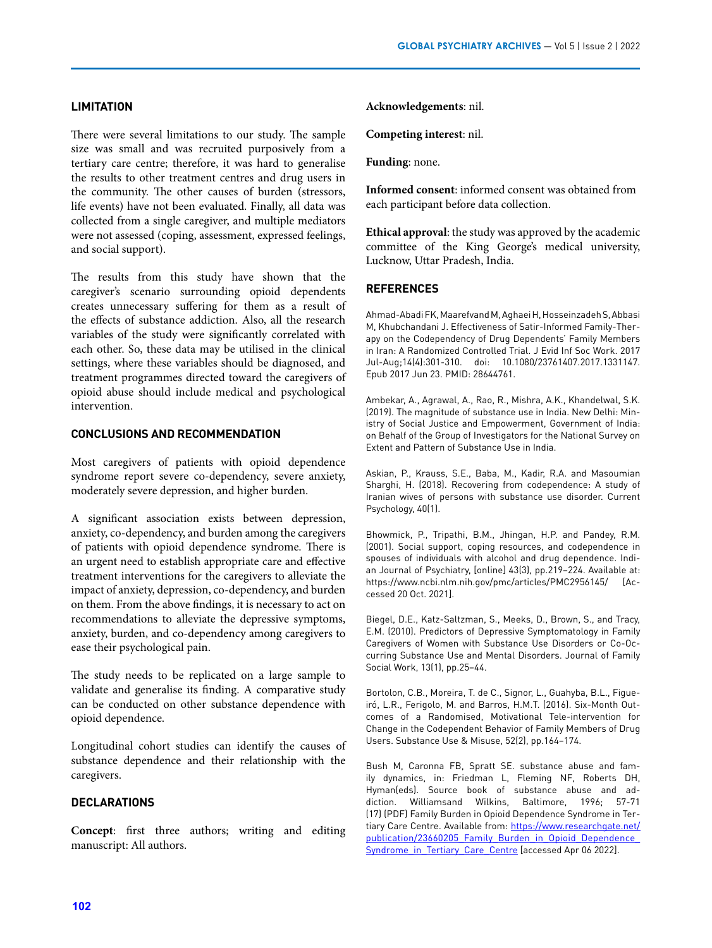## **LIMITATION**

There were several limitations to our study. The sample size was small and was recruited purposively from a tertiary care centre; therefore, it was hard to generalise the results to other treatment centres and drug users in the community. The other causes of burden (stressors, life events) have not been evaluated. Finally, all data was collected from a single caregiver, and multiple mediators were not assessed (coping, assessment, expressed feelings, and social support).

The results from this study have shown that the caregiver's scenario surrounding opioid dependents creates unnecessary suffering for them as a result of the effects of substance addiction. Also, all the research variables of the study were significantly correlated with each other. So, these data may be utilised in the clinical settings, where these variables should be diagnosed, and treatment programmes directed toward the caregivers of opioid abuse should include medical and psychological intervention.

## **CONCLUSIONS AND RECOMMENDATION**

Most caregivers of patients with opioid dependence syndrome report severe co-dependency, severe anxiety, moderately severe depression, and higher burden.

A significant association exists between depression, anxiety, co-dependency, and burden among the caregivers of patients with opioid dependence syndrome. There is an urgent need to establish appropriate care and effective treatment interventions for the caregivers to alleviate the impact of anxiety, depression, co-dependency, and burden on them. From the above findings, it is necessary to act on recommendations to alleviate the depressive symptoms, anxiety, burden, and co-dependency among caregivers to ease their psychological pain.

The study needs to be replicated on a large sample to validate and generalise its finding. A comparative study can be conducted on other substance dependence with opioid dependence.

Longitudinal cohort studies can identify the causes of substance dependence and their relationship with the caregivers.

## **DECLARATIONS**

**Concept**: first three authors; writing and editing manuscript: All authors.

### **Acknowledgements**: nil.

**Competing interest**: nil.

**Funding**: none.

**Informed consent**: informed consent was obtained from each participant before data collection.

**Ethical approval**: the study was approved by the academic committee of the King George's medical university, Lucknow, Uttar Pradesh, India.

### **REFERENCES**

Ahmad-Abadi FK, Maarefvand M, Aghaei H, Hosseinzadeh S, Abbasi M, Khubchandani J. Effectiveness of Satir-Informed Family-Therapy on the Codependency of Drug Dependents' Family Members in Iran: A Randomized Controlled Trial. J Evid Inf Soc Work. 2017 Jul-Aug;14(4):301-310. doi: 10.1080/23761407.2017.1331147. Epub 2017 Jun 23. PMID: 28644761.

Ambekar, A., Agrawal, A., Rao, R., Mishra, A.K., Khandelwal, S.K. (2019). The magnitude of substance use in India. New Delhi: Ministry of Social Justice and Empowerment, Government of India: on Behalf of the Group of Investigators for the National Survey on Extent and Pattern of Substance Use in India.

Askian, P., Krauss, S.E., Baba, M., Kadir, R.A. and Masoumian Sharghi, H. (2018). Recovering from codependence: A study of Iranian wives of persons with substance use disorder. Current Psychology, 40(1).

Bhowmick, P., Tripathi, B.M., Jhingan, H.P. and Pandey, R.M. (2001). Social support, coping resources, and codependence in spouses of individuals with alcohol and drug dependence. Indian Journal of Psychiatry, [online] 43(3), pp.219–224. Available at: https://www.ncbi.nlm.nih.gov/pmc/articles/PMC2956145/ [Accessed 20 Oct. 2021].

Biegel, D.E., Katz-Saltzman, S., Meeks, D., Brown, S., and Tracy, E.M. (2010). Predictors of Depressive Symptomatology in Family Caregivers of Women with Substance Use Disorders or Co-Occurring Substance Use and Mental Disorders. Journal of Family Social Work, 13(1), pp.25–44.

Bortolon, C.B., Moreira, T. de C., Signor, L., Guahyba, B.L., Figueiró, L.R., Ferigolo, M. and Barros, H.M.T. (2016). Six-Month Outcomes of a Randomised, Motivational Tele-intervention for Change in the Codependent Behavior of Family Members of Drug Users. Substance Use & Misuse, 52(2), pp.164–174.

Bush M, Caronna FB, Spratt SE. substance abuse and family dynamics, in: Friedman L, Fleming NF, Roberts DH, Hyman(eds). Source book of substance abuse and addiction. Williamsand Wilkins, Baltimore, 1996; 57-71 (17) (PDF) Family Burden in Opioid Dependence Syndrome in Tertiary Care Centre. Available from: [https://www.researchgate.net/](https://www.researchgate.net/publication/23660205_Family_Burden_in_Opioid_Dependence_Syndrome_in_Tertiary_Care_Centre) [publication/23660205\\_Family\\_Burden\\_in\\_Opioid\\_Dependence\\_](https://www.researchgate.net/publication/23660205_Family_Burden_in_Opioid_Dependence_Syndrome_in_Tertiary_Care_Centre) Syndrome in Tertiary Care Centre [accessed Apr 06 2022].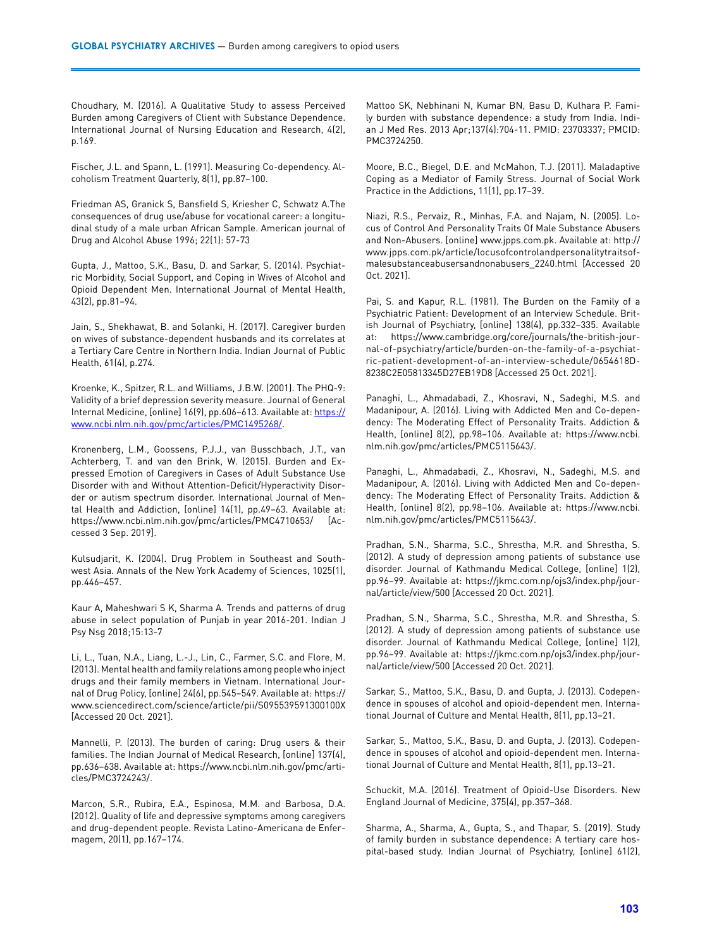Choudhary, M. (2016). A Qualitative Study to assess Perceived Burden among Caregivers of Client with Substance Dependence. International Journal of Nursing Education and Research, 4(2), p.169.

Fischer, J.L. and Spann, L. (1991). Measuring Co-dependency. Alcoholism Treatment Quarterly, 8(1), pp.87–100.

Friedman AS, Granick S, Bansfield S, Kriesher C, Schwatz A.The consequences of drug use/abuse for vocational career: a longitudinal study of a male urban African Sample. American journal of Drug and Alcohol Abuse 1996; 22(1): 57-73

Gupta, J., Mattoo, S.K., Basu, D. and Sarkar, S. (2014). Psychiatric Morbidity, Social Support, and Coping in Wives of Alcohol and Opioid Dependent Men. International Journal of Mental Health, 43(2), pp.81–94.

Jain, S., Shekhawat, B. and Solanki, H. (2017). Caregiver burden on wives of substance-dependent husbands and its correlates at a Tertiary Care Centre in Northern India. Indian Journal of Public Health, 61(4), p.274.

Kroenke, K., Spitzer, R.L. and Williams, J.B.W. (2001). The PHQ-9: Validity of a brief depression severity measure. Journal of General Internal Medicine, [online] 16(9), pp.606–613. Available at: [https://](https://www.ncbi.nlm.nih.gov/pmc/articles/PMC1495268/) [www.ncbi.nlm.nih.gov/pmc/articles/PMC1495268/](https://www.ncbi.nlm.nih.gov/pmc/articles/PMC1495268/).

Kronenberg, L.M., Goossens, P.J.J., van Busschbach, J.T., van Achterberg, T. and van den Brink, W. (2015). Burden and Expressed Emotion of Caregivers in Cases of Adult Substance Use Disorder with and Without Attention-Deficit/Hyperactivity Disorder or autism spectrum disorder. International Journal of Mental Health and Addiction, [online] 14(1), pp.49–63. Available at: https://www.ncbi.nlm.nih.gov/pmc/articles/PMC4710653/ [Accessed 3 Sep. 2019].

Kulsudjarit, K. (2004). Drug Problem in Southeast and Southwest Asia. Annals of the New York Academy of Sciences, 1025(1), pp.446–457.

Kaur A, Maheshwari S K, Sharma A. Trends and patterns of drug abuse in select population of Punjab in year 2016-201. Indian J Psy Nsg 2018;15:13-7

Li, L., Tuan, N.A., Liang, L.-J., Lin, C., Farmer, S.C. and Flore, M. (2013). Mental health and family relations among people who inject drugs and their family members in Vietnam. International Journal of Drug Policy, [online] 24(6), pp.545–549. Available at: https:// www.sciencedirect.com/science/article/pii/S095539591300100X [Accessed 20 Oct. 2021].

Mannelli, P. (2013). The burden of caring: Drug users & their families. The Indian Journal of Medical Research, [online] 137(4), pp.636–638. Available at: https://www.ncbi.nlm.nih.gov/pmc/articles/PMC3724243/.

Marcon, S.R., Rubira, E.A., Espinosa, M.M. and Barbosa, D.A. (2012). Quality of life and depressive symptoms among caregivers and drug-dependent people. Revista Latino-Americana de Enfermagem, 20(1), pp.167–174.

Mattoo SK, Nebhinani N, Kumar BN, Basu D, Kulhara P. Family burden with substance dependence: a study from India. Indian J Med Res. 2013 Apr;137(4):704-11. PMID: 23703337; PMCID: PMC3724250.

Moore, B.C., Biegel, D.E. and McMahon, T.J. (2011). Maladaptive Coping as a Mediator of Family Stress. Journal of Social Work Practice in the Addictions, 11(1), pp.17–39.

Niazi, R.S., Pervaiz, R., Minhas, F.A. and Najam, N. (2005). Locus of Control And Personality Traits Of Male Substance Abusers and Non-Abusers. [online] www.jpps.com.pk. Available at: http:// www.jpps.com.pk/article/locusofcontrolandpersonalitytraitsofmalesubstanceabusersandnonabusers\_2240.html [Accessed 20 Oct. 2021].

Pai, S. and Kapur, R.L. (1981). The Burden on the Family of a Psychiatric Patient: Development of an Interview Schedule. British Journal of Psychiatry, [online] 138(4), pp.332–335. Available at: https://www.cambridge.org/core/journals/the-british-journal-of-psychiatry/article/burden-on-the-family-of-a-psychiatric-patient-development-of-an-interview-schedule/0654618D-8238C2E05813345D27EB19D8 [Accessed 25 Oct. 2021].

Panaghi, L., Ahmadabadi, Z., Khosravi, N., Sadeghi, M.S. and Madanipour, A. (2016). Living with Addicted Men and Co-dependency: The Moderating Effect of Personality Traits. Addiction & Health, [online] 8(2), pp.98–106. Available at: https://www.ncbi. nlm.nih.gov/pmc/articles/PMC5115643/.

Panaghi, L., Ahmadabadi, Z., Khosravi, N., Sadeghi, M.S. and Madanipour, A. (2016). Living with Addicted Men and Co-dependency: The Moderating Effect of Personality Traits. Addiction & Health, [online] 8(2), pp.98–106. Available at: https://www.ncbi. nlm.nih.gov/pmc/articles/PMC5115643/.

Pradhan, S.N., Sharma, S.C., Shrestha, M.R. and Shrestha, S. (2012). A study of depression among patients of substance use disorder. Journal of Kathmandu Medical College, [online] 1(2), pp.96–99. Available at: https://jkmc.com.np/ojs3/index.php/journal/article/view/500 [Accessed 20 Oct. 2021].

Pradhan, S.N., Sharma, S.C., Shrestha, M.R. and Shrestha, S. (2012). A study of depression among patients of substance use disorder. Journal of Kathmandu Medical College, [online] 1(2), pp.96–99. Available at: https://jkmc.com.np/ojs3/index.php/journal/article/view/500 [Accessed 20 Oct. 2021].

Sarkar, S., Mattoo, S.K., Basu, D. and Gupta, J. (2013). Codependence in spouses of alcohol and opioid-dependent men. International Journal of Culture and Mental Health, 8(1), pp.13–21.

Sarkar, S., Mattoo, S.K., Basu, D. and Gupta, J. (2013). Codependence in spouses of alcohol and opioid-dependent men. International Journal of Culture and Mental Health, 8(1), pp.13–21.

Schuckit, M.A. (2016). Treatment of Opioid-Use Disorders. New England Journal of Medicine, 375(4), pp.357–368.

Sharma, A., Sharma, A., Gupta, S., and Thapar, S. (2019). Study of family burden in substance dependence: A tertiary care hospital-based study. Indian Journal of Psychiatry, [online] 61(2),